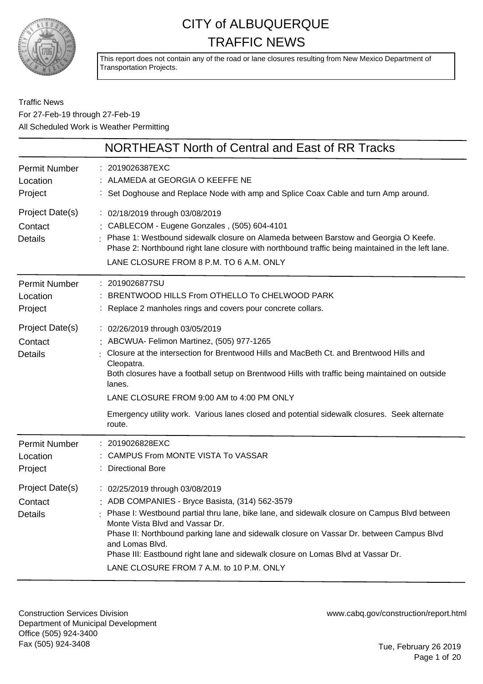

This report does not contain any of the road or lane closures resulting from New Mexico Department of Transportation Projects.

#### Traffic News For 27-Feb-19 through 27-Feb-19 All Scheduled Work is Weather Permitting

|                                              | NORTHEAST North of Central and East of RR Tracks                                                                                                                                                                                                                                                                                                                                                                                                                     |
|----------------------------------------------|----------------------------------------------------------------------------------------------------------------------------------------------------------------------------------------------------------------------------------------------------------------------------------------------------------------------------------------------------------------------------------------------------------------------------------------------------------------------|
| <b>Permit Number</b><br>Location<br>Project  | : 2019026387EXC<br>: ALAMEDA at GEORGIA O KEEFFE NE<br>: Set Doghouse and Replace Node with amp and Splice Coax Cable and turn Amp around.                                                                                                                                                                                                                                                                                                                           |
| Project Date(s)<br>Contact<br><b>Details</b> | : 02/18/2019 through 03/08/2019<br>: CABLECOM - Eugene Gonzales, (505) 604-4101<br>Phase 1: Westbound sidewalk closure on Alameda between Barstow and Georgia O Keefe.<br>Phase 2: Northbound right lane closure with northbound traffic being maintained in the left lane.<br>LANE CLOSURE FROM 8 P.M. TO 6 A.M. ONLY                                                                                                                                               |
| <b>Permit Number</b><br>Location<br>Project  | : 2019026877SU<br>BRENTWOOD HILLS From OTHELLO To CHELWOOD PARK<br>Replace 2 manholes rings and covers pour concrete collars.                                                                                                                                                                                                                                                                                                                                        |
| Project Date(s)<br>Contact<br><b>Details</b> | : 02/26/2019 through 03/05/2019<br>: ABCWUA- Felimon Martinez, (505) 977-1265<br>Closure at the intersection for Brentwood Hills and MacBeth Ct. and Brentwood Hills and<br>Cleopatra.<br>Both closures have a football setup on Brentwood Hills with traffic being maintained on outside<br>lanes.<br>LANE CLOSURE FROM 9:00 AM to 4:00 PM ONLY                                                                                                                     |
|                                              | Emergency utility work. Various lanes closed and potential sidewalk closures. Seek alternate<br>route.                                                                                                                                                                                                                                                                                                                                                               |
| <b>Permit Number</b><br>Location<br>Project  | : 2019026828EXC<br>CAMPUS From MONTE VISTA To VASSAR<br>: Directional Bore                                                                                                                                                                                                                                                                                                                                                                                           |
| Project Date(s)<br>Contact<br><b>Details</b> | : 02/25/2019 through 03/08/2019<br>: ADB COMPANIES - Bryce Basista, (314) 562-3579<br>Phase I: Westbound partial thru lane, bike lane, and sidewalk closure on Campus Blvd between<br>Monte Vista Blvd and Vassar Dr.<br>Phase II: Northbound parking lane and sidewalk closure on Vassar Dr. between Campus Blvd<br>and Lomas Blvd.<br>Phase III: Eastbound right lane and sidewalk closure on Lomas Blvd at Vassar Dr.<br>LANE CLOSURE FROM 7 A.M. to 10 P.M. ONLY |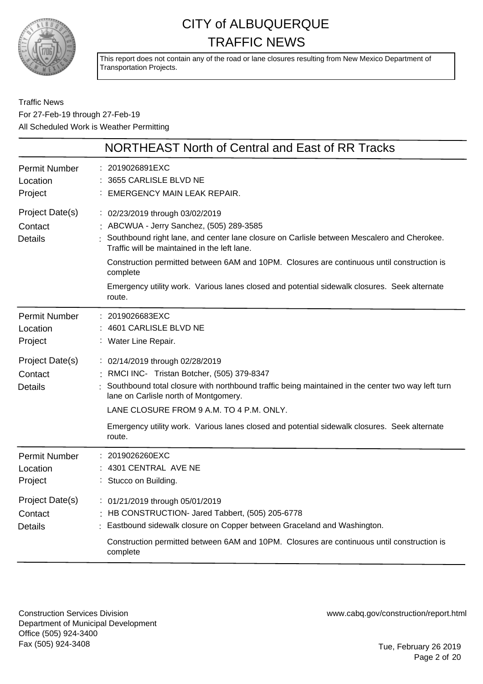

This report does not contain any of the road or lane closures resulting from New Mexico Department of Transportation Projects.

Traffic News For 27-Feb-19 through 27-Feb-19 All Scheduled Work is Weather Permitting

|                                              | NORTHEAST North of Central and East of RR Tracks                                                                                                                                                                                                                                                                                                                                                                                                |
|----------------------------------------------|-------------------------------------------------------------------------------------------------------------------------------------------------------------------------------------------------------------------------------------------------------------------------------------------------------------------------------------------------------------------------------------------------------------------------------------------------|
| <b>Permit Number</b><br>Location<br>Project  | : 2019026891EXC<br>3655 CARLISLE BLVD NE<br>EMERGENCY MAIN LEAK REPAIR.                                                                                                                                                                                                                                                                                                                                                                         |
| Project Date(s)<br>Contact<br><b>Details</b> | : 02/23/2019 through 03/02/2019<br>: ABCWUA - Jerry Sanchez, (505) 289-3585<br>: Southbound right lane, and center lane closure on Carlisle between Mescalero and Cherokee.<br>Traffic will be maintained in the left lane.<br>Construction permitted between 6AM and 10PM. Closures are continuous until construction is<br>complete<br>Emergency utility work. Various lanes closed and potential sidewalk closures. Seek alternate<br>route. |
| <b>Permit Number</b><br>Location<br>Project  | : 2019026683EXC<br>: 4601 CARLISLE BLVD NE<br>: Water Line Repair.                                                                                                                                                                                                                                                                                                                                                                              |
| Project Date(s)<br>Contact<br><b>Details</b> | : 02/14/2019 through 02/28/2019<br>: RMCI INC- Tristan Botcher, (505) 379-8347<br>: Southbound total closure with northbound traffic being maintained in the center two way left turn<br>lane on Carlisle north of Montgomery.<br>LANE CLOSURE FROM 9 A.M. TO 4 P.M. ONLY.<br>Emergency utility work. Various lanes closed and potential sidewalk closures. Seek alternate<br>route.                                                            |
| <b>Permit Number</b><br>Location<br>Project  | $: 2019026260$ EXC<br>4301 CENTRAL AVE NE<br>Stucco on Building.                                                                                                                                                                                                                                                                                                                                                                                |
| Project Date(s)<br>Contact<br><b>Details</b> | : 01/21/2019 through 05/01/2019<br>: HB CONSTRUCTION- Jared Tabbert, (505) 205-6778<br>Eastbound sidewalk closure on Copper between Graceland and Washington.<br>Construction permitted between 6AM and 10PM. Closures are continuous until construction is<br>complete                                                                                                                                                                         |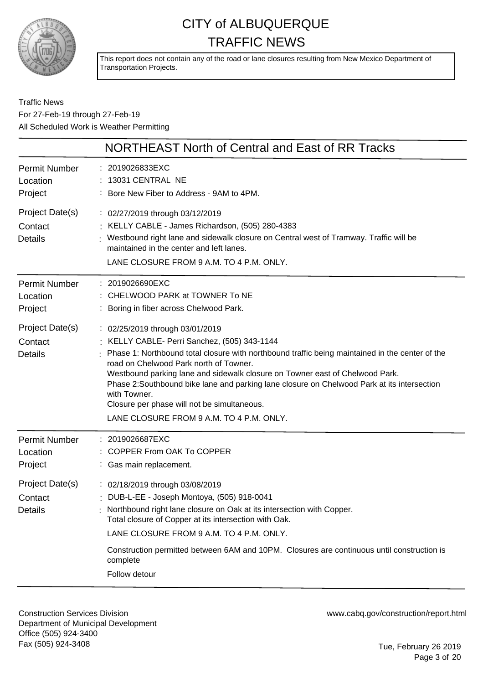

This report does not contain any of the road or lane closures resulting from New Mexico Department of Transportation Projects.

#### Traffic News For 27-Feb-19 through 27-Feb-19 All Scheduled Work is Weather Permitting

|                                              | NORTHEAST North of Central and East of RR Tracks                                                                                                                                                                                                                                                                                                                                                                                                                                                                    |
|----------------------------------------------|---------------------------------------------------------------------------------------------------------------------------------------------------------------------------------------------------------------------------------------------------------------------------------------------------------------------------------------------------------------------------------------------------------------------------------------------------------------------------------------------------------------------|
| Permit Number<br>Location<br>Project         | : 2019026833EXC<br>13031 CENTRAL NE<br>: Bore New Fiber to Address - 9AM to 4PM.                                                                                                                                                                                                                                                                                                                                                                                                                                    |
| Project Date(s)<br>Contact<br><b>Details</b> | : 02/27/2019 through 03/12/2019<br>: KELLY CABLE - James Richardson, (505) 280-4383<br>Westbound right lane and sidewalk closure on Central west of Tramway. Traffic will be<br>maintained in the center and left lanes.<br>LANE CLOSURE FROM 9 A.M. TO 4 P.M. ONLY.                                                                                                                                                                                                                                                |
| <b>Permit Number</b><br>Location<br>Project  | : 2019026690EXC<br>: CHELWOOD PARK at TOWNER To NE<br>Boring in fiber across Chelwood Park.                                                                                                                                                                                                                                                                                                                                                                                                                         |
| Project Date(s)<br>Contact<br><b>Details</b> | : 02/25/2019 through 03/01/2019<br>KELLY CABLE- Perri Sanchez, (505) 343-1144<br>Phase 1: Northbound total closure with northbound traffic being maintained in the center of the<br>road on Chelwood Park north of Towner.<br>Westbound parking lane and sidewalk closure on Towner east of Chelwood Park.<br>Phase 2:Southbound bike lane and parking lane closure on Chelwood Park at its intersection<br>with Towner.<br>Closure per phase will not be simultaneous.<br>LANE CLOSURE FROM 9 A.M. TO 4 P.M. ONLY. |
| <b>Permit Number</b><br>Location<br>Project  | : 2019026687EXC<br>COPPER From OAK To COPPER<br>: Gas main replacement.                                                                                                                                                                                                                                                                                                                                                                                                                                             |
| Project Date(s)<br>Contact<br><b>Details</b> | : 02/18/2019 through 03/08/2019<br>: DUB-L-EE - Joseph Montoya, (505) 918-0041<br>Northbound right lane closure on Oak at its intersection with Copper.<br>Total closure of Copper at its intersection with Oak.<br>LANE CLOSURE FROM 9 A.M. TO 4 P.M. ONLY.<br>Construction permitted between 6AM and 10PM. Closures are continuous until construction is<br>complete<br>Follow detour                                                                                                                             |

Construction Services Division Department of Municipal Development Office (505) 924-3400 Fax (505) 924-3408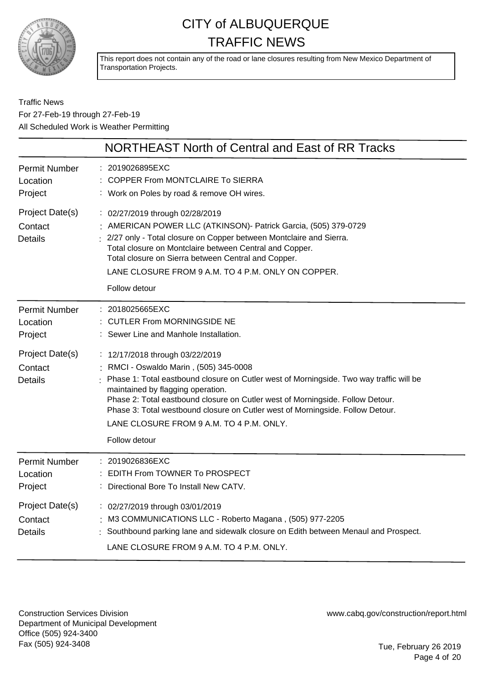

This report does not contain any of the road or lane closures resulting from New Mexico Department of Transportation Projects.

#### Traffic News For 27-Feb-19 through 27-Feb-19 All Scheduled Work is Weather Permitting

|                                              | NORTHEAST North of Central and East of RR Tracks                                                                                                                                                                                                                                                                                                                                                                                           |
|----------------------------------------------|--------------------------------------------------------------------------------------------------------------------------------------------------------------------------------------------------------------------------------------------------------------------------------------------------------------------------------------------------------------------------------------------------------------------------------------------|
| <b>Permit Number</b><br>Location<br>Project  | : 2019026895EXC<br>COPPER From MONTCLAIRE To SIERRA<br>: Work on Poles by road & remove OH wires.                                                                                                                                                                                                                                                                                                                                          |
| Project Date(s)<br>Contact<br><b>Details</b> | : 02/27/2019 through 02/28/2019<br>: AMERICAN POWER LLC (ATKINSON) - Patrick Garcia, (505) 379-0729<br>: 2/27 only - Total closure on Copper between Montclaire and Sierra.<br>Total closure on Montclaire between Central and Copper.<br>Total closure on Sierra between Central and Copper.<br>LANE CLOSURE FROM 9 A.M. TO 4 P.M. ONLY ON COPPER.<br>Follow detour                                                                       |
| <b>Permit Number</b><br>Location<br>Project  | : 2018025665EXC<br>: CUTLER From MORNINGSIDE NE<br>Sewer Line and Manhole Installation.                                                                                                                                                                                                                                                                                                                                                    |
| Project Date(s)<br>Contact<br><b>Details</b> | : 12/17/2018 through 03/22/2019<br>: RMCI - Oswaldo Marin, (505) 345-0008<br>Phase 1: Total eastbound closure on Cutler west of Morningside. Two way traffic will be<br>maintained by flagging operation.<br>Phase 2: Total eastbound closure on Cutler west of Morningside. Follow Detour.<br>Phase 3: Total westbound closure on Cutler west of Morningside. Follow Detour.<br>LANE CLOSURE FROM 9 A.M. TO 4 P.M. ONLY.<br>Follow detour |
| <b>Permit Number</b><br>Location<br>Project  | : 2019026836EXC<br>: EDITH From TOWNER To PROSPECT<br>Directional Bore To Install New CATV.                                                                                                                                                                                                                                                                                                                                                |
| Project Date(s)<br>Contact<br><b>Details</b> | : 02/27/2019 through 03/01/2019<br>: M3 COMMUNICATIONS LLC - Roberto Magana, (505) 977-2205<br>Southbound parking lane and sidewalk closure on Edith between Menaul and Prospect.<br>LANE CLOSURE FROM 9 A.M. TO 4 P.M. ONLY.                                                                                                                                                                                                              |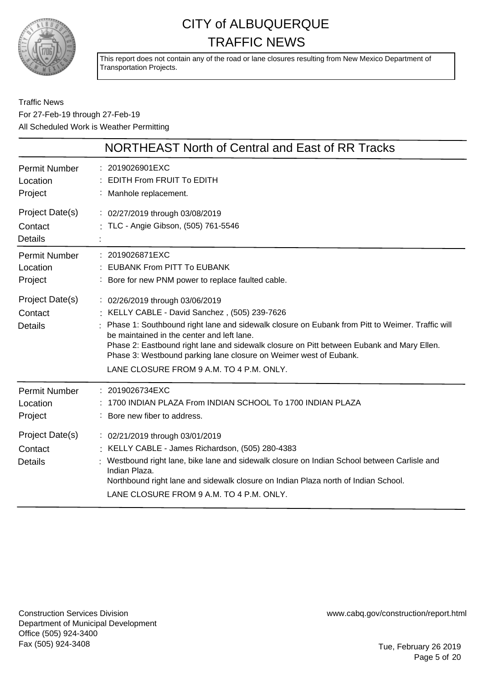

This report does not contain any of the road or lane closures resulting from New Mexico Department of Transportation Projects.

Traffic News For 27-Feb-19 through 27-Feb-19 All Scheduled Work is Weather Permitting

|                                              | NORTHEAST North of Central and East of RR Tracks                                                                                                                                                                                                                                                                                                                                                                                                |
|----------------------------------------------|-------------------------------------------------------------------------------------------------------------------------------------------------------------------------------------------------------------------------------------------------------------------------------------------------------------------------------------------------------------------------------------------------------------------------------------------------|
| <b>Permit Number</b><br>Location<br>Project  | : 2019026901EXC<br><b>EDITH From FRUIT To EDITH</b><br>: Manhole replacement.                                                                                                                                                                                                                                                                                                                                                                   |
| Project Date(s)<br>Contact<br><b>Details</b> | : 02/27/2019 through 03/08/2019<br>: TLC - Angie Gibson, (505) 761-5546                                                                                                                                                                                                                                                                                                                                                                         |
| Permit Number<br>Location<br>Project         | : 2019026871EXC<br><b>EUBANK From PITT To EUBANK</b><br>: Bore for new PNM power to replace faulted cable.                                                                                                                                                                                                                                                                                                                                      |
| Project Date(s)<br>Contact<br><b>Details</b> | : 02/26/2019 through 03/06/2019<br>: KELLY CABLE - David Sanchez, (505) 239-7626<br>Phase 1: Southbound right lane and sidewalk closure on Eubank from Pitt to Weimer. Traffic will<br>be maintained in the center and left lane.<br>Phase 2: Eastbound right lane and sidewalk closure on Pitt between Eubank and Mary Ellen.<br>Phase 3: Westbound parking lane closure on Weimer west of Eubank.<br>LANE CLOSURE FROM 9 A.M. TO 4 P.M. ONLY. |
| <b>Permit Number</b><br>Location<br>Project  | : 2019026734EXC<br>1700 INDIAN PLAZA From INDIAN SCHOOL To 1700 INDIAN PLAZA<br>: Bore new fiber to address.                                                                                                                                                                                                                                                                                                                                    |
| Project Date(s)<br>Contact<br><b>Details</b> | : 02/21/2019 through 03/01/2019<br>: KELLY CABLE - James Richardson, (505) 280-4383<br>Westbound right lane, bike lane and sidewalk closure on Indian School between Carlisle and<br>Indian Plaza.<br>Northbound right lane and sidewalk closure on Indian Plaza north of Indian School.<br>LANE CLOSURE FROM 9 A.M. TO 4 P.M. ONLY.                                                                                                            |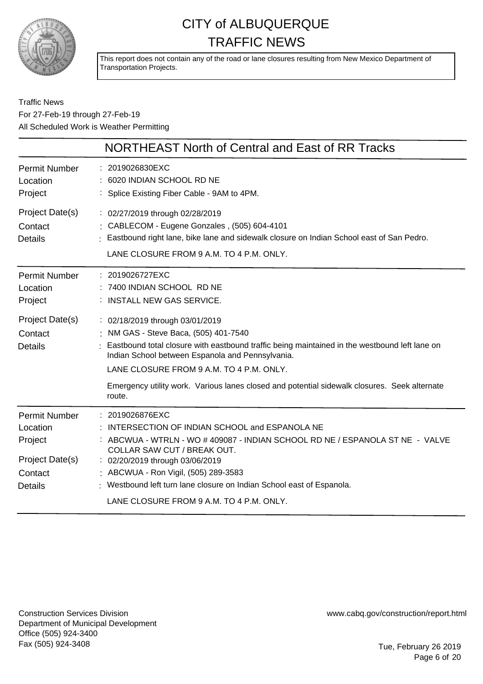

This report does not contain any of the road or lane closures resulting from New Mexico Department of Transportation Projects.

|                                                                                             | NORTHEAST North of Central and East of RR Tracks                                                                                                                                                                                                                                                                                     |
|---------------------------------------------------------------------------------------------|--------------------------------------------------------------------------------------------------------------------------------------------------------------------------------------------------------------------------------------------------------------------------------------------------------------------------------------|
| <b>Permit Number</b><br>Location<br>Project                                                 | : 2019026830EXC<br>6020 INDIAN SCHOOL RD NE<br>: Splice Existing Fiber Cable - 9AM to 4PM.                                                                                                                                                                                                                                           |
| Project Date(s)<br>Contact<br><b>Details</b>                                                | : 02/27/2019 through 02/28/2019<br>: CABLECOM - Eugene Gonzales, (505) 604-4101<br>: Eastbound right lane, bike lane and sidewalk closure on Indian School east of San Pedro.<br>LANE CLOSURE FROM 9 A.M. TO 4 P.M. ONLY.                                                                                                            |
| <b>Permit Number</b><br>Location<br>Project                                                 | : 2019026727EXC<br>: 7400 INDIAN SCHOOL RD NE<br>: INSTALL NEW GAS SERVICE.                                                                                                                                                                                                                                                          |
| Project Date(s)<br>Contact<br><b>Details</b>                                                | : 02/18/2019 through 03/01/2019<br>: NM GAS - Steve Baca, (505) 401-7540<br>: Eastbound total closure with eastbound traffic being maintained in the westbound left lane on<br>Indian School between Espanola and Pennsylvania.<br>LANE CLOSURE FROM 9 A.M. TO 4 P.M. ONLY.                                                          |
|                                                                                             | Emergency utility work. Various lanes closed and potential sidewalk closures. Seek alternate<br>route.                                                                                                                                                                                                                               |
| <b>Permit Number</b><br>Location<br>Project<br>Project Date(s)<br>Contact<br><b>Details</b> | : 2019026876EXC<br>INTERSECTION OF INDIAN SCHOOL and ESPANOLA NE<br>: ABCWUA - WTRLN - WO # 409087 - INDIAN SCHOOL RD NE / ESPANOLA ST NE - VALVE<br>COLLAR SAW CUT / BREAK OUT.<br>: 02/20/2019 through 03/06/2019<br>: ABCWUA - Ron Vigil, (505) 289-3583<br>: Westbound left turn lane closure on Indian School east of Espanola. |
|                                                                                             | LANE CLOSURE FROM 9 A.M. TO 4 P.M. ONLY.                                                                                                                                                                                                                                                                                             |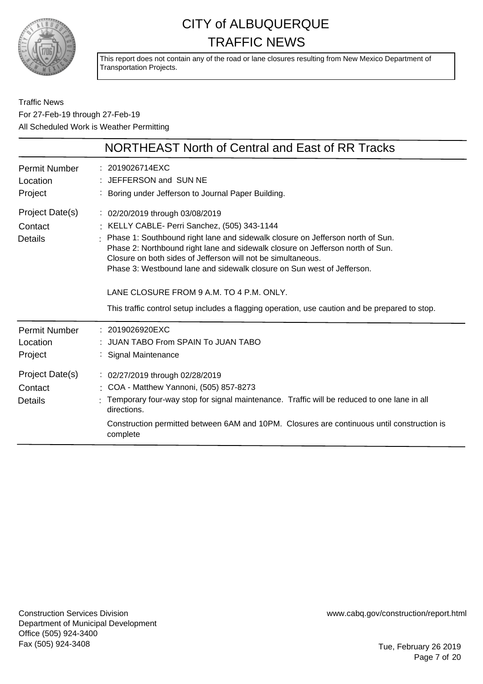

This report does not contain any of the road or lane closures resulting from New Mexico Department of Transportation Projects.

|                                              | NORTHEAST North of Central and East of RR Tracks                                                                                                                                                                                                                                                                                                                                                                                                                                                                                            |
|----------------------------------------------|---------------------------------------------------------------------------------------------------------------------------------------------------------------------------------------------------------------------------------------------------------------------------------------------------------------------------------------------------------------------------------------------------------------------------------------------------------------------------------------------------------------------------------------------|
| <b>Permit Number</b><br>Location<br>Project  | : 2019026714EXC<br>: JEFFERSON and SUN NE<br>: Boring under Jefferson to Journal Paper Building.                                                                                                                                                                                                                                                                                                                                                                                                                                            |
| Project Date(s)<br>Contact<br><b>Details</b> | : 02/20/2019 through 03/08/2019<br>: KELLY CABLE- Perri Sanchez, (505) 343-1144<br>Phase 1: Southbound right lane and sidewalk closure on Jefferson north of Sun.<br>Phase 2: Northbound right lane and sidewalk closure on Jefferson north of Sun.<br>Closure on both sides of Jefferson will not be simultaneous.<br>Phase 3: Westbound lane and sidewalk closure on Sun west of Jefferson.<br>LANE CLOSURE FROM 9 A.M. TO 4 P.M. ONLY.<br>This traffic control setup includes a flagging operation, use caution and be prepared to stop. |
| <b>Permit Number</b><br>Location<br>Project  | $: 2019026920$ EXC<br>JUAN TABO From SPAIN To JUAN TABO<br>Signal Maintenance                                                                                                                                                                                                                                                                                                                                                                                                                                                               |
| Project Date(s)<br>Contact<br><b>Details</b> | : 02/27/2019 through 02/28/2019<br>: COA - Matthew Yannoni, (505) 857-8273<br>Temporary four-way stop for signal maintenance. Traffic will be reduced to one lane in all<br>directions.<br>Construction permitted between 6AM and 10PM. Closures are continuous until construction is<br>complete                                                                                                                                                                                                                                           |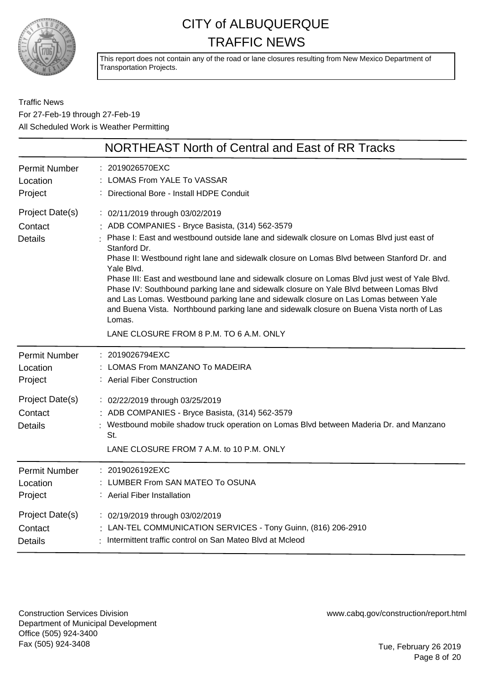

This report does not contain any of the road or lane closures resulting from New Mexico Department of Transportation Projects.

Traffic News For 27-Feb-19 through 27-Feb-19 All Scheduled Work is Weather Permitting

|                                              | NORTHEAST North of Central and East of RR Tracks                                                                                                                                                                                                                                                                                                                                                                                                                                                                                                                                                                                                                                                                                                |
|----------------------------------------------|-------------------------------------------------------------------------------------------------------------------------------------------------------------------------------------------------------------------------------------------------------------------------------------------------------------------------------------------------------------------------------------------------------------------------------------------------------------------------------------------------------------------------------------------------------------------------------------------------------------------------------------------------------------------------------------------------------------------------------------------------|
| <b>Permit Number</b>                         | : 2019026570EXC                                                                                                                                                                                                                                                                                                                                                                                                                                                                                                                                                                                                                                                                                                                                 |
| Location                                     | LOMAS From YALE To VASSAR                                                                                                                                                                                                                                                                                                                                                                                                                                                                                                                                                                                                                                                                                                                       |
| Project                                      | : Directional Bore - Install HDPE Conduit                                                                                                                                                                                                                                                                                                                                                                                                                                                                                                                                                                                                                                                                                                       |
| Project Date(s)<br>Contact<br><b>Details</b> | : 02/11/2019 through 03/02/2019<br>: ADB COMPANIES - Bryce Basista, (314) 562-3579<br>Phase I: East and westbound outside lane and sidewalk closure on Lomas Blvd just east of<br>Stanford Dr.<br>Phase II: Westbound right lane and sidewalk closure on Lomas Blvd between Stanford Dr. and<br>Yale Blvd.<br>Phase III: East and westbound lane and sidewalk closure on Lomas Blvd just west of Yale Blvd.<br>Phase IV: Southbound parking lane and sidewalk closure on Yale Blvd between Lomas Blvd<br>and Las Lomas. Westbound parking lane and sidewalk closure on Las Lomas between Yale<br>and Buena Vista. Northbound parking lane and sidewalk closure on Buena Vista north of Las<br>Lomas.<br>LANE CLOSURE FROM 8 P.M. TO 6 A.M. ONLY |
| <b>Permit Number</b>                         | : 2019026794EXC                                                                                                                                                                                                                                                                                                                                                                                                                                                                                                                                                                                                                                                                                                                                 |
| Location                                     | LOMAS From MANZANO To MADEIRA                                                                                                                                                                                                                                                                                                                                                                                                                                                                                                                                                                                                                                                                                                                   |
| Project                                      | : Aerial Fiber Construction                                                                                                                                                                                                                                                                                                                                                                                                                                                                                                                                                                                                                                                                                                                     |
| Project Date(s)<br>Contact<br><b>Details</b> | : 02/22/2019 through 03/25/2019<br>: ADB COMPANIES - Bryce Basista, (314) 562-3579<br>Westbound mobile shadow truck operation on Lomas Blvd between Maderia Dr. and Manzano<br>St.<br>LANE CLOSURE FROM 7 A.M. to 10 P.M. ONLY                                                                                                                                                                                                                                                                                                                                                                                                                                                                                                                  |
| <b>Permit Number</b>                         | : 2019026192EXC                                                                                                                                                                                                                                                                                                                                                                                                                                                                                                                                                                                                                                                                                                                                 |
| Location                                     | : LUMBER From SAN MATEO To OSUNA                                                                                                                                                                                                                                                                                                                                                                                                                                                                                                                                                                                                                                                                                                                |
| Project                                      | : Aerial Fiber Installation                                                                                                                                                                                                                                                                                                                                                                                                                                                                                                                                                                                                                                                                                                                     |
| Project Date(s)                              | : 02/19/2019 through 03/02/2019                                                                                                                                                                                                                                                                                                                                                                                                                                                                                                                                                                                                                                                                                                                 |
| Contact                                      | : LAN-TEL COMMUNICATION SERVICES - Tony Guinn, (816) 206-2910                                                                                                                                                                                                                                                                                                                                                                                                                                                                                                                                                                                                                                                                                   |
| <b>Details</b>                               | : Intermittent traffic control on San Mateo Blvd at Mcleod                                                                                                                                                                                                                                                                                                                                                                                                                                                                                                                                                                                                                                                                                      |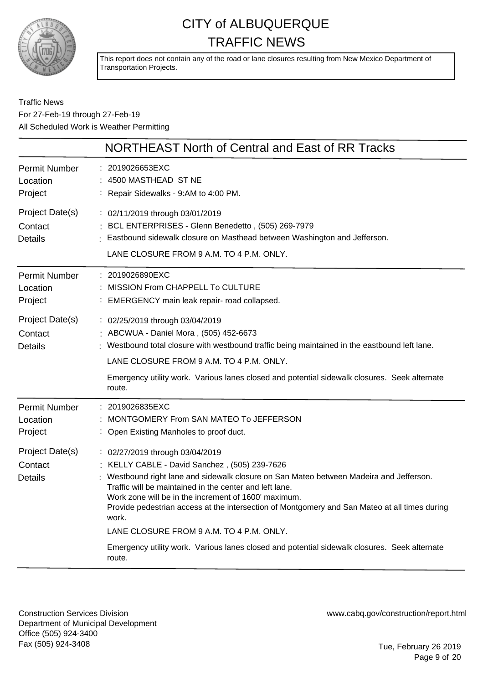

This report does not contain any of the road or lane closures resulting from New Mexico Department of Transportation Projects.

Traffic News For 27-Feb-19 through 27-Feb-19 All Scheduled Work is Weather Permitting

|                                              | NORTHEAST North of Central and East of RR Tracks                                                                                                                                                                                                                                                                                                                                                                                                                                                                                                             |
|----------------------------------------------|--------------------------------------------------------------------------------------------------------------------------------------------------------------------------------------------------------------------------------------------------------------------------------------------------------------------------------------------------------------------------------------------------------------------------------------------------------------------------------------------------------------------------------------------------------------|
| <b>Permit Number</b><br>Location<br>Project  | : 2019026653EXC<br>: 4500 MASTHEAD ST NE<br>: Repair Sidewalks - 9:AM to 4:00 PM.                                                                                                                                                                                                                                                                                                                                                                                                                                                                            |
| Project Date(s)<br>Contact<br><b>Details</b> | : 02/11/2019 through 03/01/2019<br>BCL ENTERPRISES - Glenn Benedetto, (505) 269-7979<br>: Eastbound sidewalk closure on Masthead between Washington and Jefferson.<br>LANE CLOSURE FROM 9 A.M. TO 4 P.M. ONLY.                                                                                                                                                                                                                                                                                                                                               |
| <b>Permit Number</b><br>Location<br>Project  | : 2019026890EXC<br>: MISSION From CHAPPELL To CULTURE<br>: EMERGENCY main leak repair- road collapsed.                                                                                                                                                                                                                                                                                                                                                                                                                                                       |
| Project Date(s)<br>Contact<br><b>Details</b> | : 02/25/2019 through 03/04/2019<br>: ABCWUA - Daniel Mora, (505) 452-6673<br>: Westbound total closure with westbound traffic being maintained in the eastbound left lane.<br>LANE CLOSURE FROM 9 A.M. TO 4 P.M. ONLY.                                                                                                                                                                                                                                                                                                                                       |
|                                              | Emergency utility work. Various lanes closed and potential sidewalk closures. Seek alternate<br>route.                                                                                                                                                                                                                                                                                                                                                                                                                                                       |
| <b>Permit Number</b><br>Location<br>Project  | 2019026835EXC<br>MONTGOMERY From SAN MATEO To JEFFERSON<br>: Open Existing Manholes to proof duct.                                                                                                                                                                                                                                                                                                                                                                                                                                                           |
| Project Date(s)<br>Contact<br><b>Details</b> | : 02/27/2019 through 03/04/2019<br>: KELLY CABLE - David Sanchez, (505) 239-7626<br>Westbound right lane and sidewalk closure on San Mateo between Madeira and Jefferson.<br>Traffic will be maintained in the center and left lane.<br>Work zone will be in the increment of 1600' maximum.<br>Provide pedestrian access at the intersection of Montgomery and San Mateo at all times during<br>work.<br>LANE CLOSURE FROM 9 A.M. TO 4 P.M. ONLY.<br>Emergency utility work. Various lanes closed and potential sidewalk closures. Seek alternate<br>route. |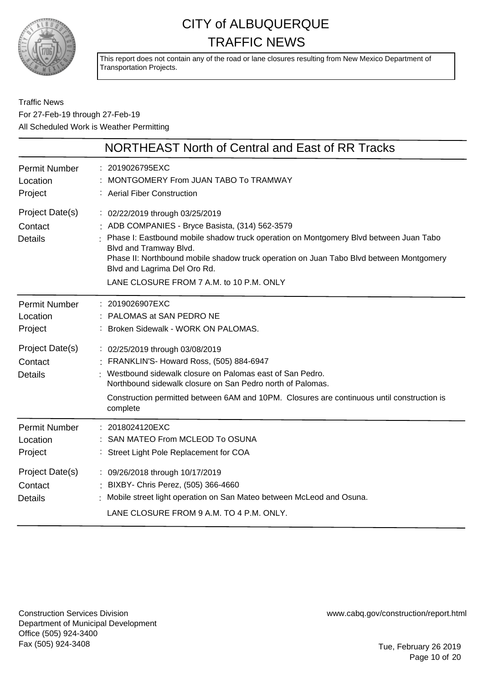

This report does not contain any of the road or lane closures resulting from New Mexico Department of Transportation Projects.

#### Traffic News For 27-Feb-19 through 27-Feb-19 All Scheduled Work is Weather Permitting

|                                              | NORTHEAST North of Central and East of RR Tracks                                                                                                                                                                                                                                                                                                                             |
|----------------------------------------------|------------------------------------------------------------------------------------------------------------------------------------------------------------------------------------------------------------------------------------------------------------------------------------------------------------------------------------------------------------------------------|
| <b>Permit Number</b><br>Location<br>Project  | 2019026795EXC<br>MONTGOMERY From JUAN TABO To TRAMWAY<br><b>Aerial Fiber Construction</b>                                                                                                                                                                                                                                                                                    |
| Project Date(s)<br>Contact<br><b>Details</b> | : 02/22/2019 through 03/25/2019<br>: ADB COMPANIES - Bryce Basista, (314) 562-3579<br>Phase I: Eastbound mobile shadow truck operation on Montgomery Blvd between Juan Tabo<br>Blvd and Tramway Blvd.<br>Phase II: Northbound mobile shadow truck operation on Juan Tabo Blvd between Montgomery<br>Blvd and Lagrima Del Oro Rd.<br>LANE CLOSURE FROM 7 A.M. to 10 P.M. ONLY |
| <b>Permit Number</b><br>Location<br>Project  | 2019026907EXC<br>PALOMAS at SAN PEDRO NE<br>Broken Sidewalk - WORK ON PALOMAS.                                                                                                                                                                                                                                                                                               |
| Project Date(s)<br>Contact<br><b>Details</b> | : 02/25/2019 through 03/08/2019<br>FRANKLIN'S- Howard Ross, (505) 884-6947<br>Westbound sidewalk closure on Palomas east of San Pedro.<br>Northbound sidewalk closure on San Pedro north of Palomas.<br>Construction permitted between 6AM and 10PM. Closures are continuous until construction is<br>complete                                                               |
| <b>Permit Number</b><br>Location<br>Project  | : 2018024120EXC<br>SAN MATEO From MCLEOD To OSUNA<br>: Street Light Pole Replacement for COA                                                                                                                                                                                                                                                                                 |
| Project Date(s)<br>Contact<br><b>Details</b> | : 09/26/2018 through 10/17/2019<br>BIXBY- Chris Perez, (505) 366-4660<br>Mobile street light operation on San Mateo between McLeod and Osuna.<br>LANE CLOSURE FROM 9 A.M. TO 4 P.M. ONLY.                                                                                                                                                                                    |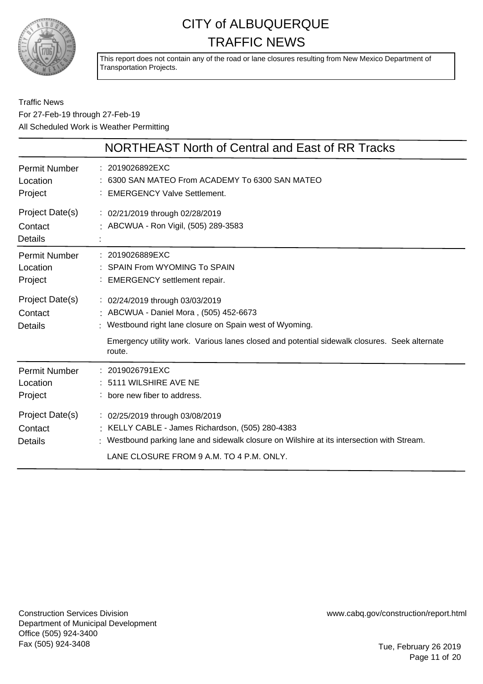

This report does not contain any of the road or lane closures resulting from New Mexico Department of Transportation Projects.

|                                              | NORTHEAST North of Central and East of RR Tracks                                                                                                                                                                                              |
|----------------------------------------------|-----------------------------------------------------------------------------------------------------------------------------------------------------------------------------------------------------------------------------------------------|
| Permit Number<br>Location<br>Project         | : 2019026892EXC<br>: 6300 SAN MATEO From ACADEMY To 6300 SAN MATEO<br><b>EMERGENCY Valve Settlement.</b>                                                                                                                                      |
| Project Date(s)<br>Contact<br><b>Details</b> | : 02/21/2019 through 02/28/2019<br>: ABCWUA - Ron Vigil, (505) 289-3583                                                                                                                                                                       |
| <b>Permit Number</b><br>Location<br>Project  | : 2019026889EXC<br>: SPAIN From WYOMING To SPAIN<br>: EMERGENCY settlement repair.                                                                                                                                                            |
| Project Date(s)<br>Contact<br>Details        | : 02/24/2019 through 03/03/2019<br>: ABCWUA - Daniel Mora, (505) 452-6673<br>Westbound right lane closure on Spain west of Wyoming.<br>Emergency utility work. Various lanes closed and potential sidewalk closures. Seek alternate<br>route. |
| Permit Number<br>Location<br>Project         | : 2019026791EXC<br>: 5111 WILSHIRE AVE NE<br>: bore new fiber to address.                                                                                                                                                                     |
| Project Date(s)<br>Contact<br><b>Details</b> | : 02/25/2019 through 03/08/2019<br>: KELLY CABLE - James Richardson, (505) 280-4383<br>Westbound parking lane and sidewalk closure on Wilshire at its intersection with Stream.<br>LANE CLOSURE FROM 9 A.M. TO 4 P.M. ONLY.                   |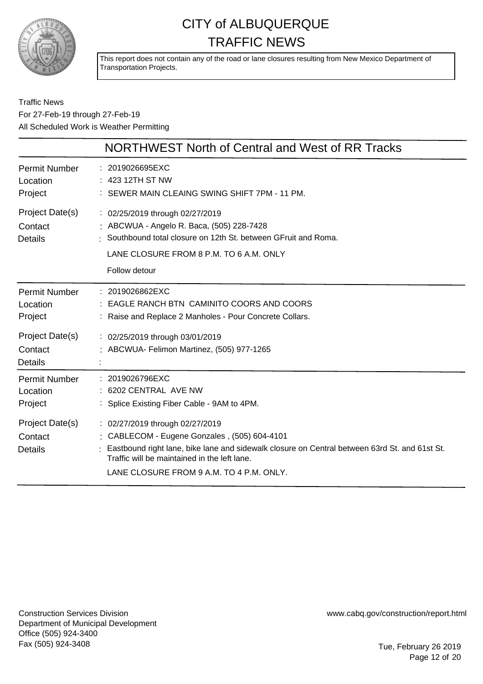

This report does not contain any of the road or lane closures resulting from New Mexico Department of Transportation Projects.

#### Traffic News For 27-Feb-19 through 27-Feb-19 All Scheduled Work is Weather Permitting

|                                              | NORTHWEST North of Central and West of RR Tracks                                                                                                                                                                                                                             |
|----------------------------------------------|------------------------------------------------------------------------------------------------------------------------------------------------------------------------------------------------------------------------------------------------------------------------------|
| <b>Permit Number</b><br>Location<br>Project  | : 2019026695EXC<br>: 423 12TH ST NW<br>: SEWER MAIN CLEAING SWING SHIFT 7PM - 11 PM.                                                                                                                                                                                         |
| Project Date(s)<br>Contact<br><b>Details</b> | : 02/25/2019 through 02/27/2019<br>: ABCWUA - Angelo R. Baca, (505) 228-7428<br>: Southbound total closure on 12th St. between GFruit and Roma.<br>LANE CLOSURE FROM 8 P.M. TO 6 A.M. ONLY<br>Follow detour                                                                  |
| <b>Permit Number</b><br>Location<br>Project  | : 2019026862EXC<br>EAGLE RANCH BTN CAMINITO COORS AND COORS<br>: Raise and Replace 2 Manholes - Pour Concrete Collars.                                                                                                                                                       |
| Project Date(s)<br>Contact<br><b>Details</b> | : 02/25/2019 through 03/01/2019<br>: ABCWUA- Felimon Martinez, (505) 977-1265                                                                                                                                                                                                |
| <b>Permit Number</b><br>Location<br>Project  | : 2019026796EXC<br>: 6202 CENTRAL AVE NW<br>: Splice Existing Fiber Cable - 9AM to 4PM.                                                                                                                                                                                      |
| Project Date(s)<br>Contact<br><b>Details</b> | : 02/27/2019 through 02/27/2019<br>: CABLECOM - Eugene Gonzales, (505) 604-4101<br>Eastbound right lane, bike lane and sidewalk closure on Central between 63rd St. and 61st St.<br>Traffic will be maintained in the left lane.<br>LANE CLOSURE FROM 9 A.M. TO 4 P.M. ONLY. |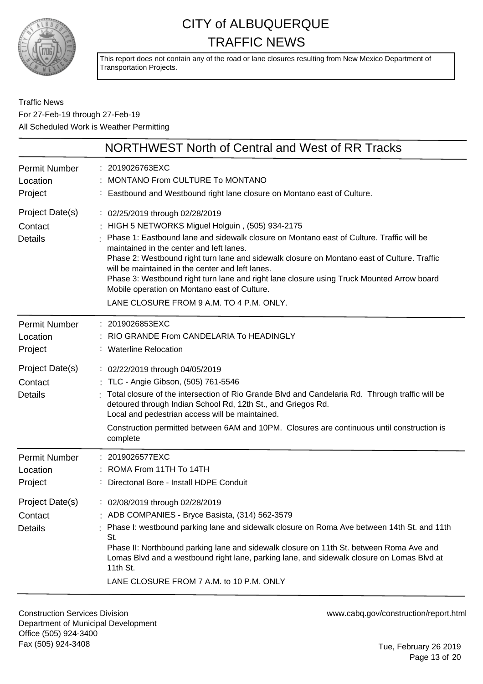

This report does not contain any of the road or lane closures resulting from New Mexico Department of Transportation Projects.

#### Traffic News For 27-Feb-19 through 27-Feb-19 All Scheduled Work is Weather Permitting

|                                              | NORTHWEST North of Central and West of RR Tracks                                                                                                                                                                                                                                                                                                                                                                                                                                                                                                                        |
|----------------------------------------------|-------------------------------------------------------------------------------------------------------------------------------------------------------------------------------------------------------------------------------------------------------------------------------------------------------------------------------------------------------------------------------------------------------------------------------------------------------------------------------------------------------------------------------------------------------------------------|
| Permit Number<br>Location<br>Project         | : 2019026763EXC<br>MONTANO From CULTURE To MONTANO<br>: Eastbound and Westbound right lane closure on Montano east of Culture.                                                                                                                                                                                                                                                                                                                                                                                                                                          |
| Project Date(s)<br>Contact<br><b>Details</b> | : 02/25/2019 through 02/28/2019<br>: HIGH 5 NETWORKS Miguel Holguin, (505) 934-2175<br>Phase 1: Eastbound lane and sidewalk closure on Montano east of Culture. Traffic will be<br>maintained in the center and left lanes.<br>Phase 2: Westbound right turn lane and sidewalk closure on Montano east of Culture. Traffic<br>will be maintained in the center and left lanes.<br>Phase 3: Westbound right turn lane and right lane closure using Truck Mounted Arrow board<br>Mobile operation on Montano east of Culture.<br>LANE CLOSURE FROM 9 A.M. TO 4 P.M. ONLY. |
| Permit Number<br>Location<br>Project         | : 2019026853EXC<br>RIO GRANDE From CANDELARIA To HEADINGLY<br>: Waterline Relocation                                                                                                                                                                                                                                                                                                                                                                                                                                                                                    |
| Project Date(s)<br>Contact<br><b>Details</b> | : 02/22/2019 through 04/05/2019<br>: TLC - Angie Gibson, (505) 761-5546<br>Total closure of the intersection of Rio Grande Blvd and Candelaria Rd. Through traffic will be<br>detoured through Indian School Rd, 12th St., and Griegos Rd.<br>Local and pedestrian access will be maintained.<br>Construction permitted between 6AM and 10PM. Closures are continuous until construction is<br>complete                                                                                                                                                                 |
| Permit Number<br>Location<br>Project         | : 2019026577EXC<br>: ROMA From 11TH To 14TH<br>Directonal Bore - Install HDPE Conduit                                                                                                                                                                                                                                                                                                                                                                                                                                                                                   |
| Project Date(s)<br>Contact<br><b>Details</b> | : 02/08/2019 through 02/28/2019<br>: ADB COMPANIES - Bryce Basista, (314) 562-3579<br>: Phase I: westbound parking lane and sidewalk closure on Roma Ave between 14th St. and 11th<br>St.<br>Phase II: Northbound parking lane and sidewalk closure on 11th St. between Roma Ave and<br>Lomas Blvd and a westbound right lane, parking lane, and sidewalk closure on Lomas Blvd at<br>11th St.<br>LANE CLOSURE FROM 7 A.M. to 10 P.M. ONLY                                                                                                                              |

Construction Services Division Department of Municipal Development Office (505) 924-3400 Fax (505) 924-3408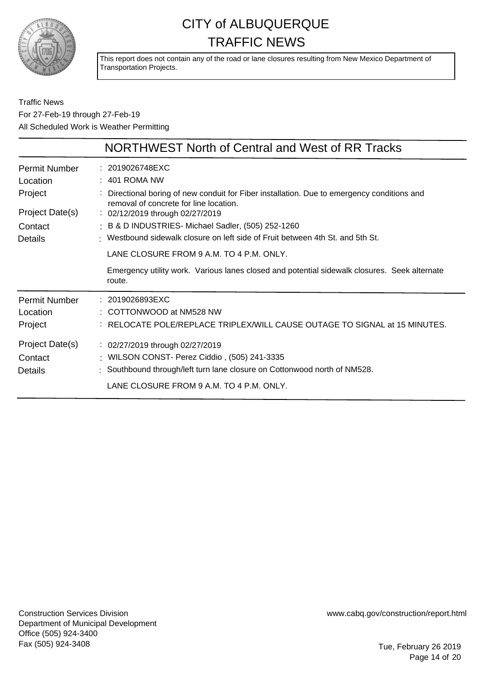

This report does not contain any of the road or lane closures resulting from New Mexico Department of Transportation Projects.

Traffic News For 27-Feb-19 through 27-Feb-19 All Scheduled Work is Weather Permitting

|                                                  | <b>NORTHWEST North of Central and West of RR Tracks</b>                                                                                                                                                                                                                                                        |
|--------------------------------------------------|----------------------------------------------------------------------------------------------------------------------------------------------------------------------------------------------------------------------------------------------------------------------------------------------------------------|
| <b>Permit Number</b><br>Location                 | : 2019026748EXC<br>$: 401$ ROMA NW                                                                                                                                                                                                                                                                             |
| Project<br>Project Date(s)<br>Contact<br>Details | Directional boring of new conduit for Fiber installation. Due to emergency conditions and<br>removal of concrete for line location.<br>: 02/12/2019 through 02/27/2019<br>: B & D INDUSTRIES- Michael Sadler, (505) 252-1260<br>: Westbound sidewalk closure on left side of Fruit between 4th St. and 5th St. |
|                                                  | LANE CLOSURE FROM 9 A.M. TO 4 P.M. ONLY.<br>Emergency utility work. Various lanes closed and potential sidewalk closures. Seek alternate<br>route.                                                                                                                                                             |
| <b>Permit Number</b><br>Location<br>Project      | : 2019026893EXC<br>: COTTONWOOD at NM528 NW<br>: RELOCATE POLE/REPLACE TRIPLEX/WILL CAUSE OUTAGE TO SIGNAL at 15 MINUTES.                                                                                                                                                                                      |
| Project Date(s)<br>Contact<br>Details            | : 02/27/2019 through 02/27/2019<br>: WILSON CONST- Perez Ciddio, (505) 241-3335<br>: Southbound through/left turn lane closure on Cottonwood north of NM528.<br>LANE CLOSURE FROM 9 A.M. TO 4 P.M. ONLY.                                                                                                       |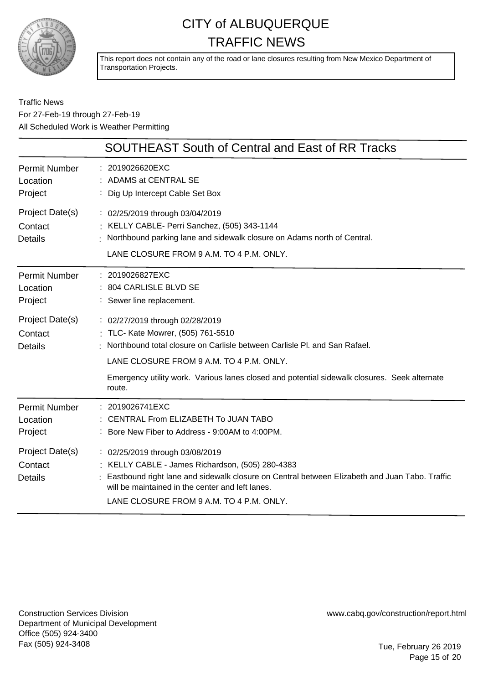

This report does not contain any of the road or lane closures resulting from New Mexico Department of Transportation Projects.

Traffic News For 27-Feb-19 through 27-Feb-19 All Scheduled Work is Weather Permitting

|                                              | <b>SOUTHEAST South of Central and East of RR Tracks</b>                                                                                                                                                                                                                                                  |
|----------------------------------------------|----------------------------------------------------------------------------------------------------------------------------------------------------------------------------------------------------------------------------------------------------------------------------------------------------------|
| <b>Permit Number</b><br>Location<br>Project  | : 2019026620EXC<br>ADAMS at CENTRAL SE<br>Dig Up Intercept Cable Set Box                                                                                                                                                                                                                                 |
| Project Date(s)<br>Contact<br><b>Details</b> | : 02/25/2019 through 03/04/2019<br>: KELLY CABLE- Perri Sanchez, (505) 343-1144<br>: Northbound parking lane and sidewalk closure on Adams north of Central.<br>LANE CLOSURE FROM 9 A.M. TO 4 P.M. ONLY.                                                                                                 |
| Permit Number<br>Location<br>Project         | : 2019026827EXC<br>: 804 CARLISLE BLVD SE<br>: Sewer line replacement.                                                                                                                                                                                                                                   |
| Project Date(s)<br>Contact<br><b>Details</b> | : 02/27/2019 through 02/28/2019<br>: TLC- Kate Mowrer, (505) 761-5510<br>Northbound total closure on Carlisle between Carlisle PI, and San Rafael.<br>LANE CLOSURE FROM 9 A.M. TO 4 P.M. ONLY.<br>Emergency utility work. Various lanes closed and potential sidewalk closures. Seek alternate<br>route. |
| <b>Permit Number</b><br>Location<br>Project  | : 2019026741EXC<br>: CENTRAL From ELIZABETH To JUAN TABO<br>: Bore New Fiber to Address - 9:00AM to 4:00PM.                                                                                                                                                                                              |
| Project Date(s)<br>Contact<br><b>Details</b> | : 02/25/2019 through 03/08/2019<br>: KELLY CABLE - James Richardson, (505) 280-4383<br>Eastbound right lane and sidewalk closure on Central between Elizabeth and Juan Tabo. Traffic<br>will be maintained in the center and left lanes.<br>LANE CLOSURE FROM 9 A.M. TO 4 P.M. ONLY.                     |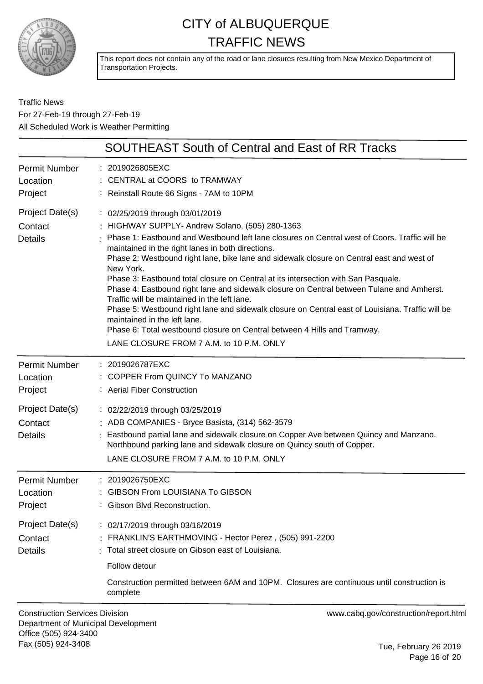

This report does not contain any of the road or lane closures resulting from New Mexico Department of Transportation Projects.

Traffic News For 27-Feb-19 through 27-Feb-19 All Scheduled Work is Weather Permitting

| <b>SOUTHEAST South of Central and East of RR Tracks</b>                                                                                                                                                                                                                                                                                                                                                                                                                                                                                                                                                                                                                                                                                                                                                                                           |
|---------------------------------------------------------------------------------------------------------------------------------------------------------------------------------------------------------------------------------------------------------------------------------------------------------------------------------------------------------------------------------------------------------------------------------------------------------------------------------------------------------------------------------------------------------------------------------------------------------------------------------------------------------------------------------------------------------------------------------------------------------------------------------------------------------------------------------------------------|
| : 2019026805EXC<br>: CENTRAL at COORS to TRAMWAY<br>: Reinstall Route 66 Signs - 7AM to 10PM                                                                                                                                                                                                                                                                                                                                                                                                                                                                                                                                                                                                                                                                                                                                                      |
| : 02/25/2019 through 03/01/2019<br>: HIGHWAY SUPPLY- Andrew Solano, (505) 280-1363<br>Phase 1: Eastbound and Westbound left lane closures on Central west of Coors. Traffic will be<br>maintained in the right lanes in both directions.<br>Phase 2: Westbound right lane, bike lane and sidewalk closure on Central east and west of<br>New York.<br>Phase 3: Eastbound total closure on Central at its intersection with San Pasquale.<br>Phase 4: Eastbound right lane and sidewalk closure on Central between Tulane and Amherst.<br>Traffic will be maintained in the left lane.<br>Phase 5: Westbound right lane and sidewalk closure on Central east of Louisiana. Traffic will be<br>maintained in the left lane.<br>Phase 6: Total westbound closure on Central between 4 Hills and Tramway.<br>LANE CLOSURE FROM 7 A.M. to 10 P.M. ONLY |
| : 2019026787EXC<br>COPPER From QUINCY To MANZANO<br>: Aerial Fiber Construction                                                                                                                                                                                                                                                                                                                                                                                                                                                                                                                                                                                                                                                                                                                                                                   |
| : 02/22/2019 through 03/25/2019<br>: ADB COMPANIES - Bryce Basista, (314) 562-3579<br>: Eastbound partial lane and sidewalk closure on Copper Ave between Quincy and Manzano.<br>Northbound parking lane and sidewalk closure on Quincy south of Copper.<br>LANE CLOSURE FROM 7 A.M. to 10 P.M. ONLY                                                                                                                                                                                                                                                                                                                                                                                                                                                                                                                                              |
| : 2019026750EXC<br>: GIBSON From LOUISIANA To GIBSON<br>: Gibson Blvd Reconstruction.                                                                                                                                                                                                                                                                                                                                                                                                                                                                                                                                                                                                                                                                                                                                                             |
| : 02/17/2019 through 03/16/2019<br>FRANKLIN'S EARTHMOVING - Hector Perez, (505) 991-2200<br>: Total street closure on Gibson east of Louisiana.<br>Follow detour<br>Construction permitted between 6AM and 10PM. Closures are continuous until construction is<br>complete                                                                                                                                                                                                                                                                                                                                                                                                                                                                                                                                                                        |
|                                                                                                                                                                                                                                                                                                                                                                                                                                                                                                                                                                                                                                                                                                                                                                                                                                                   |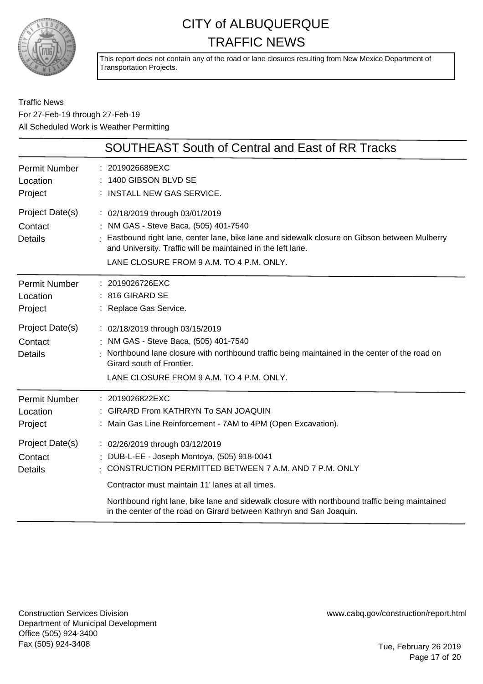

This report does not contain any of the road or lane closures resulting from New Mexico Department of Transportation Projects.

Traffic News For 27-Feb-19 through 27-Feb-19 All Scheduled Work is Weather Permitting

|                                              | <b>SOUTHEAST South of Central and East of RR Tracks</b>                                                                                                                                                                                                                                |
|----------------------------------------------|----------------------------------------------------------------------------------------------------------------------------------------------------------------------------------------------------------------------------------------------------------------------------------------|
| <b>Permit Number</b><br>Location<br>Project  | : 2019026689EXC<br>1400 GIBSON BLVD SE<br>: INSTALL NEW GAS SERVICE.                                                                                                                                                                                                                   |
| Project Date(s)<br>Contact<br><b>Details</b> | : 02/18/2019 through 03/01/2019<br>: NM GAS - Steve Baca, (505) 401-7540<br>: Eastbound right lane, center lane, bike lane and sidewalk closure on Gibson between Mulberry<br>and University. Traffic will be maintained in the left lane.<br>LANE CLOSURE FROM 9 A.M. TO 4 P.M. ONLY. |
| <b>Permit Number</b><br>Location<br>Project  | : 2019026726EXC<br>$: 816$ GIRARD SE<br>: Replace Gas Service.                                                                                                                                                                                                                         |
| Project Date(s)<br>Contact<br><b>Details</b> | : 02/18/2019 through 03/15/2019<br>: NM GAS - Steve Baca, (505) 401-7540<br>Northbound lane closure with northbound traffic being maintained in the center of the road on<br>Girard south of Frontier.<br>LANE CLOSURE FROM 9 A.M. TO 4 P.M. ONLY.                                     |
| <b>Permit Number</b><br>Location<br>Project  | : 2019026822EXC<br>: GIRARD From KATHRYN To SAN JOAQUIN<br>: Main Gas Line Reinforcement - 7AM to 4PM (Open Excavation).                                                                                                                                                               |
| Project Date(s)<br>Contact<br><b>Details</b> | : 02/26/2019 through 03/12/2019<br>: DUB-L-EE - Joseph Montoya, (505) 918-0041<br>$\pm$ CONSTRUCTION PERMITTED BETWEEN 7 A.M. AND 7 P.M. ONLY                                                                                                                                          |
|                                              | Contractor must maintain 11' lanes at all times.<br>Northbound right lane, bike lane and sidewalk closure with northbound traffic being maintained<br>in the center of the road on Girard between Kathryn and San Joaquin.                                                             |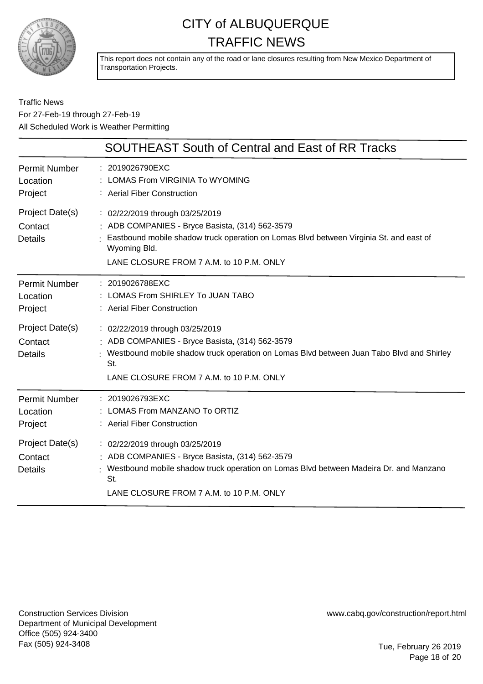

This report does not contain any of the road or lane closures resulting from New Mexico Department of Transportation Projects.

#### Traffic News For 27-Feb-19 through 27-Feb-19 All Scheduled Work is Weather Permitting

|                                              | <b>SOUTHEAST South of Central and East of RR Tracks</b>                                                                                                                                                                                  |
|----------------------------------------------|------------------------------------------------------------------------------------------------------------------------------------------------------------------------------------------------------------------------------------------|
| Permit Number<br>Location<br>Project         | : 2019026790EXC<br>: LOMAS From VIRGINIA To WYOMING<br>: Aerial Fiber Construction                                                                                                                                                       |
| Project Date(s)<br>Contact<br><b>Details</b> | : 02/22/2019 through 03/25/2019<br>: ADB COMPANIES - Bryce Basista, (314) 562-3579<br>Eastbound mobile shadow truck operation on Lomas Blvd between Virginia St. and east of<br>Wyoming Bld.<br>LANE CLOSURE FROM 7 A.M. to 10 P.M. ONLY |
| Permit Number<br>Location<br>Project         | : 2019026788EXC<br>: LOMAS From SHIRLEY To JUAN TABO<br>: Aerial Fiber Construction                                                                                                                                                      |
| Project Date(s)<br>Contact<br><b>Details</b> | : 02/22/2019 through 03/25/2019<br>: ADB COMPANIES - Bryce Basista, (314) 562-3579<br>Westbound mobile shadow truck operation on Lomas Blvd between Juan Tabo Blvd and Shirley<br>St.<br>LANE CLOSURE FROM 7 A.M. to 10 P.M. ONLY        |
| Permit Number<br>Location<br>Project         | : 2019026793EXC<br>: LOMAS From MANZANO To ORTIZ<br>: Aerial Fiber Construction                                                                                                                                                          |
| Project Date(s)<br>Contact<br><b>Details</b> | : 02/22/2019 through 03/25/2019<br>: ADB COMPANIES - Bryce Basista, (314) 562-3579<br>: Westbound mobile shadow truck operation on Lomas Blvd between Madeira Dr. and Manzano<br>St.<br>LANE CLOSURE FROM 7 A.M. to 10 P.M. ONLY         |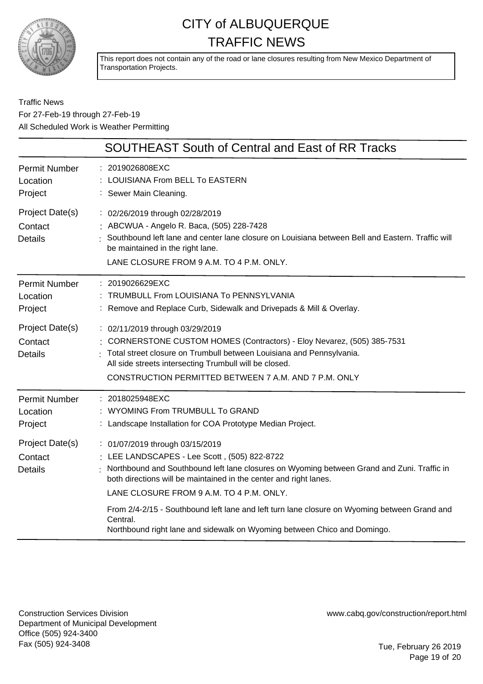

This report does not contain any of the road or lane closures resulting from New Mexico Department of Transportation Projects.

|                                              | <b>SOUTHEAST South of Central and East of RR Tracks</b>                                                                                                                                                                                                                                                                                                                                                    |
|----------------------------------------------|------------------------------------------------------------------------------------------------------------------------------------------------------------------------------------------------------------------------------------------------------------------------------------------------------------------------------------------------------------------------------------------------------------|
| <b>Permit Number</b><br>Location<br>Project  | 2019026808EXC<br><b>LOUISIANA From BELL To EASTERN</b><br>: Sewer Main Cleaning.                                                                                                                                                                                                                                                                                                                           |
| Project Date(s)<br>Contact<br><b>Details</b> | : 02/26/2019 through 02/28/2019<br>: ABCWUA - Angelo R. Baca, (505) 228-7428<br>Southbound left lane and center lane closure on Louisiana between Bell and Eastern. Traffic will<br>be maintained in the right lane.<br>LANE CLOSURE FROM 9 A.M. TO 4 P.M. ONLY.                                                                                                                                           |
| <b>Permit Number</b><br>Location<br>Project  | : 2019026629EXC<br>TRUMBULL From LOUISIANA To PENNSYLVANIA<br>: Remove and Replace Curb, Sidewalk and Drivepads & Mill & Overlay.                                                                                                                                                                                                                                                                          |
| Project Date(s)<br>Contact<br><b>Details</b> | : 02/11/2019 through 03/29/2019<br>CORNERSTONE CUSTOM HOMES (Contractors) - Eloy Nevarez, (505) 385-7531<br>Total street closure on Trumbull between Louisiana and Pennsylvania.<br>All side streets intersecting Trumbull will be closed.<br>CONSTRUCTION PERMITTED BETWEEN 7 A.M. AND 7 P.M. ONLY                                                                                                        |
| <b>Permit Number</b><br>Location<br>Project  | : 2018025948EXC<br>: WYOMING From TRUMBULL To GRAND<br>: Landscape Installation for COA Prototype Median Project.                                                                                                                                                                                                                                                                                          |
| Project Date(s)<br>Contact<br><b>Details</b> | : 01/07/2019 through 03/15/2019<br>: LEE LANDSCAPES - Lee Scott, (505) 822-8722<br>Northbound and Southbound left lane closures on Wyoming between Grand and Zuni. Traffic in<br>both directions will be maintained in the center and right lanes.<br>LANE CLOSURE FROM 9 A.M. TO 4 P.M. ONLY.<br>From 2/4-2/15 - Southbound left lane and left turn lane closure on Wyoming between Grand and<br>Central. |
|                                              | Northbound right lane and sidewalk on Wyoming between Chico and Domingo.                                                                                                                                                                                                                                                                                                                                   |